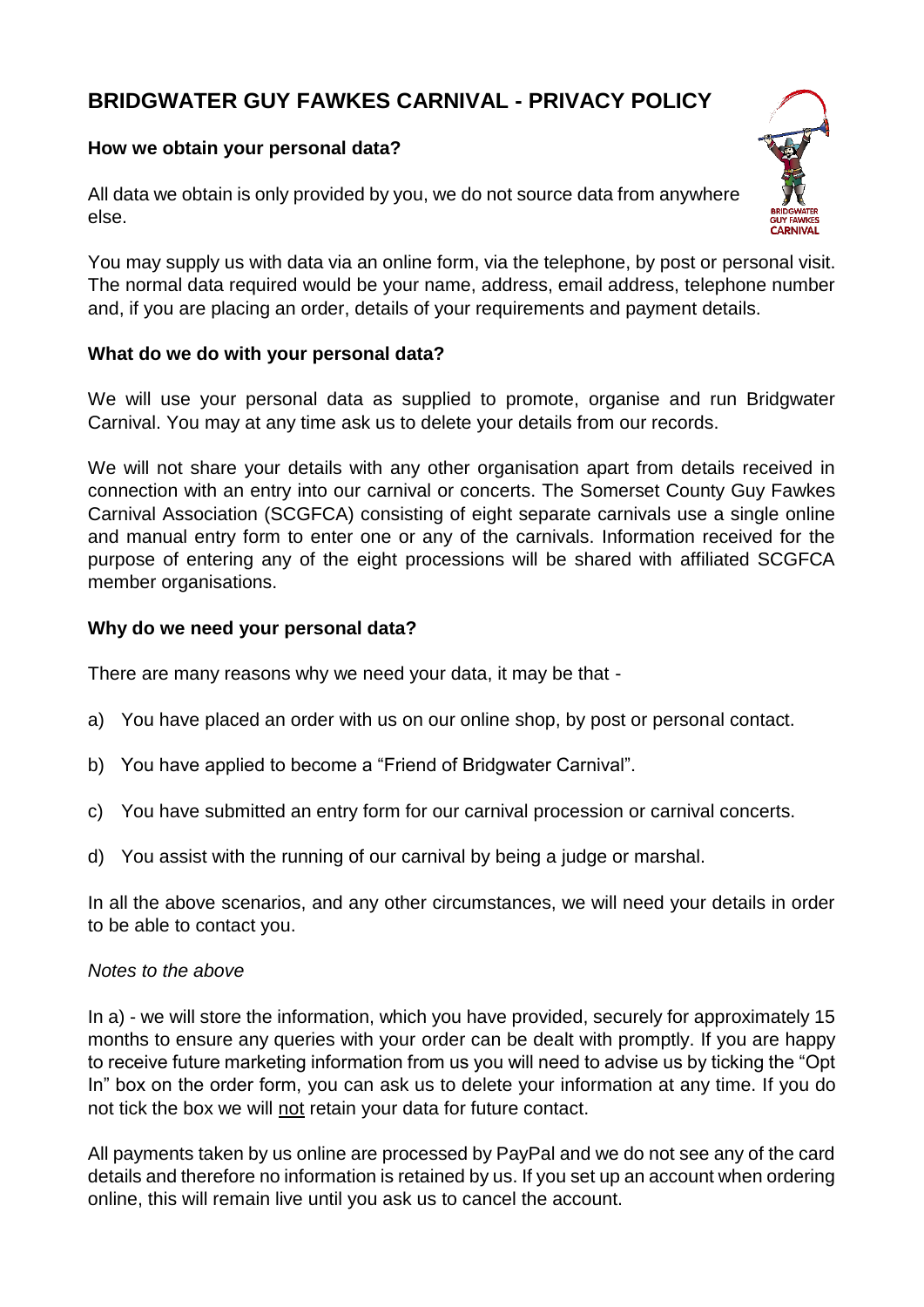# **BRIDGWATER GUY FAWKES CARNIVAL - PRIVACY POLICY**

## **How we obtain your personal data?**

All data we obtain is only provided by you, we do not source data from anywhere else.

You may supply us with data via an online form, via the telephone, by post or personal visit. The normal data required would be your name, address, email address, telephone number and, if you are placing an order, details of your requirements and payment details.

## **What do we do with your personal data?**

We will use your personal data as supplied to promote, organise and run Bridgwater Carnival. You may at any time ask us to delete your details from our records.

We will not share your details with any other organisation apart from details received in connection with an entry into our carnival or concerts. The Somerset County Guy Fawkes Carnival Association (SCGFCA) consisting of eight separate carnivals use a single online and manual entry form to enter one or any of the carnivals. Information received for the purpose of entering any of the eight processions will be shared with affiliated SCGFCA member organisations.

## **Why do we need your personal data?**

There are many reasons why we need your data, it may be that -

- a) You have placed an order with us on our online shop, by post or personal contact.
- b) You have applied to become a "Friend of Bridgwater Carnival".
- c) You have submitted an entry form for our carnival procession or carnival concerts.
- d) You assist with the running of our carnival by being a judge or marshal.

In all the above scenarios, and any other circumstances, we will need your details in order to be able to contact you.

#### *Notes to the above*

In a) - we will store the information, which you have provided, securely for approximately 15 months to ensure any queries with your order can be dealt with promptly. If you are happy to receive future marketing information from us you will need to advise us by ticking the "Opt In" box on the order form, you can ask us to delete your information at any time. If you do not tick the box we will not retain your data for future contact.

All payments taken by us online are processed by PayPal and we do not see any of the card details and therefore no information is retained by us. If you set up an account when ordering online, this will remain live until you ask us to cancel the account.